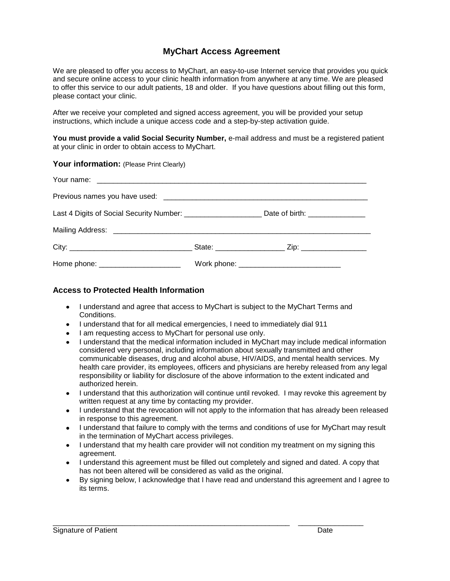## **MyChart Access Agreement**

We are pleased to offer you access to MyChart, an easy-to-use Internet service that provides you quick and secure online access to your clinic health information from anywhere at any time. We are pleased to offer this service to our adult patients, 18 and older. If you have questions about filling out this form, please contact your clinic.

After we receive your completed and signed access agreement, you will be provided your setup instructions, which include a unique access code and a step-by-step activation guide.

**You must provide a valid Social Security Number,** e-mail address and must be a registered patient at your clinic in order to obtain access to MyChart.

## Your information: (Please Print Clearly)

| Home phone: ______________________ |  |
|------------------------------------|--|

## **Access to Protected Health Information**

- I understand and agree that access to MyChart is subject to the MyChart Terms and Conditions.
- I understand that for all medical emergencies, I need to immediately dial 911
- I am requesting access to MyChart for personal use only.
- I understand that the medical information included in MyChart may include medical information considered very personal, including information about sexually transmitted and other communicable diseases, drug and alcohol abuse, HIV/AIDS, and mental health services. My health care provider, its employees, officers and physicians are hereby released from any legal responsibility or liability for disclosure of the above information to the extent indicated and authorized herein.
- I understand that this authorization will continue until revoked. I may revoke this agreement by written request at any time by contacting my provider.
- I understand that the revocation will not apply to the information that has already been released in response to this agreement.
- I understand that failure to comply with the terms and conditions of use for MyChart may result in the termination of MyChart access privileges.
- I understand that my health care provider will not condition my treatment on my signing this agreement.
- I understand this agreement must be filled out completely and signed and dated. A copy that has not been altered will be considered as valid as the original.

\_\_\_\_\_\_\_\_\_\_\_\_\_\_\_\_\_\_\_\_\_\_\_\_\_\_\_\_\_\_\_\_\_\_\_\_\_\_\_\_\_\_\_\_\_\_\_\_\_\_\_\_\_\_\_\_\_\_ \_\_\_\_\_\_\_\_\_\_\_\_\_\_\_\_

By signing below, I acknowledge that I have read and understand this agreement and I agree to  $\bullet$ its terms.